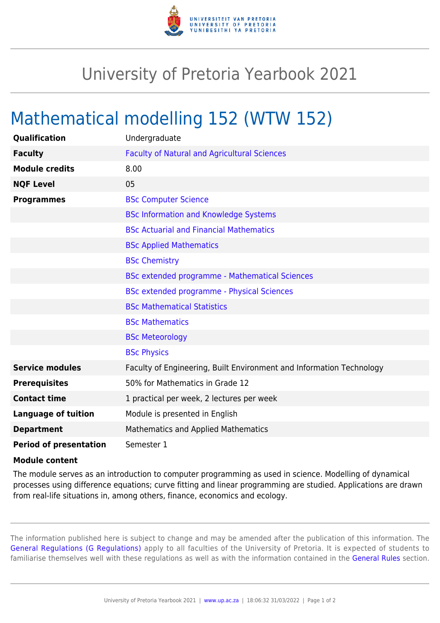

## University of Pretoria Yearbook 2021

## Mathematical modelling 152 (WTW 152)

| Qualification                 | Undergraduate                                                        |
|-------------------------------|----------------------------------------------------------------------|
| <b>Faculty</b>                | <b>Faculty of Natural and Agricultural Sciences</b>                  |
| <b>Module credits</b>         | 8.00                                                                 |
| <b>NQF Level</b>              | 05                                                                   |
| <b>Programmes</b>             | <b>BSc Computer Science</b>                                          |
|                               | <b>BSc Information and Knowledge Systems</b>                         |
|                               | <b>BSc Actuarial and Financial Mathematics</b>                       |
|                               | <b>BSc Applied Mathematics</b>                                       |
|                               | <b>BSc Chemistry</b>                                                 |
|                               | <b>BSc extended programme - Mathematical Sciences</b>                |
|                               | <b>BSc extended programme - Physical Sciences</b>                    |
|                               | <b>BSc Mathematical Statistics</b>                                   |
|                               | <b>BSc Mathematics</b>                                               |
|                               | <b>BSc Meteorology</b>                                               |
|                               | <b>BSc Physics</b>                                                   |
| <b>Service modules</b>        | Faculty of Engineering, Built Environment and Information Technology |
| <b>Prerequisites</b>          | 50% for Mathematics in Grade 12                                      |
| <b>Contact time</b>           | 1 practical per week, 2 lectures per week                            |
| <b>Language of tuition</b>    | Module is presented in English                                       |
| <b>Department</b>             | <b>Mathematics and Applied Mathematics</b>                           |
| <b>Period of presentation</b> | Semester 1                                                           |

## **Module content**

The module serves as an introduction to computer programming as used in science. Modelling of dynamical processes using difference equations; curve fitting and linear programming are studied. Applications are drawn from real-life situations in, among others, finance, economics and ecology.

The information published here is subject to change and may be amended after the publication of this information. The [General Regulations \(G Regulations\)](https://www.up.ac.za/yearbooks/2021/rules/view/REG) apply to all faculties of the University of Pretoria. It is expected of students to familiarise themselves well with these regulations as well as with the information contained in the [General Rules](https://www.up.ac.za/yearbooks/2021/rules/view/RUL) section.